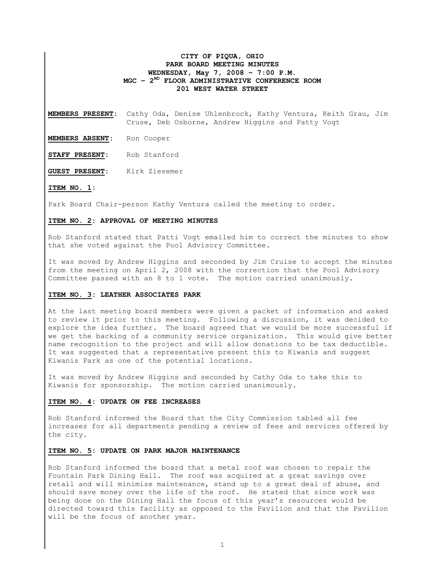# CITY OF PIQUA, OHIO PARK BOARD MEETING MINUTES WEDNESDAY, May 7, 2008 – 7:00 P.M. MGC - 2<sup>ND</sup> FLOOR ADMINISTRATIVE CONFERENCE ROOM 201 WEST WATER STREET

MEMBERS PRESENT: Cathy Oda, Denise Uhlenbrock, Kathy Ventura, Keith Grau, Jim Cruse, Deb Osborne, Andrew Higgins and Patty Vogt

MEMBERS ABSENT: Ron Cooper

STAFF PRESENT: Rob Stanford

GUEST PRESENT: Kirk Ziesemer

## ITEM NO. 1:

Park Board Chair-person Kathy Ventura called the meeting to order.

# ITEM NO. 2: APPROVAL OF MEETING MINUTES

Rob Stanford stated that Patti Vogt emailed him to correct the minutes to show that she voted against the Pool Advisory Committee.

It was moved by Andrew Higgins and seconded by Jim Cruise to accept the minutes from the meeting on April 2, 2008 with the correction that the Pool Advisory Committee passed with an 8 to 1 vote. The motion carried unanimously.

#### ITEM NO. 3: LEATHER ASSOCIATES PARK

At the last meeting board members were given a packet of information and asked to review it prior to this meeting. Following a discussion, it was decided to explore the idea further. The board agreed that we would be more successful if we get the backing of a community service organization. This would give better name recognition to the project and will allow donations to be tax deductible. It was suggested that a representative present this to Kiwanis and suggest Kiwanis Park as one of the potential locations.

It was moved by Andrew Higgins and seconded by Cathy Oda to take this to Kiwanis for sponsorship. The motion carried unanimously.

## ITEM NO. 4: UPDATE ON FEE INCREASES

Rob Stanford informed the Board that the City Commission tabled all fee increases for all departments pending a review of fees and services offered by the city.

# ITEM NO. 5: UPDATE ON PARK MAJOR MAINTENANCE

Rob Stanford informed the board that a metal roof was chosen to repair the Fountain Park Dining Hall. The roof was acquired at a great savings over retail and will minimize maintenance, stand up to a great deal of abuse, and should save money over the life of the roof. He stated that since work was being done on the Dining Hall the focus of this year's resources would be directed toward this facility as opposed to the Pavilion and that the Pavilion will be the focus of another year.